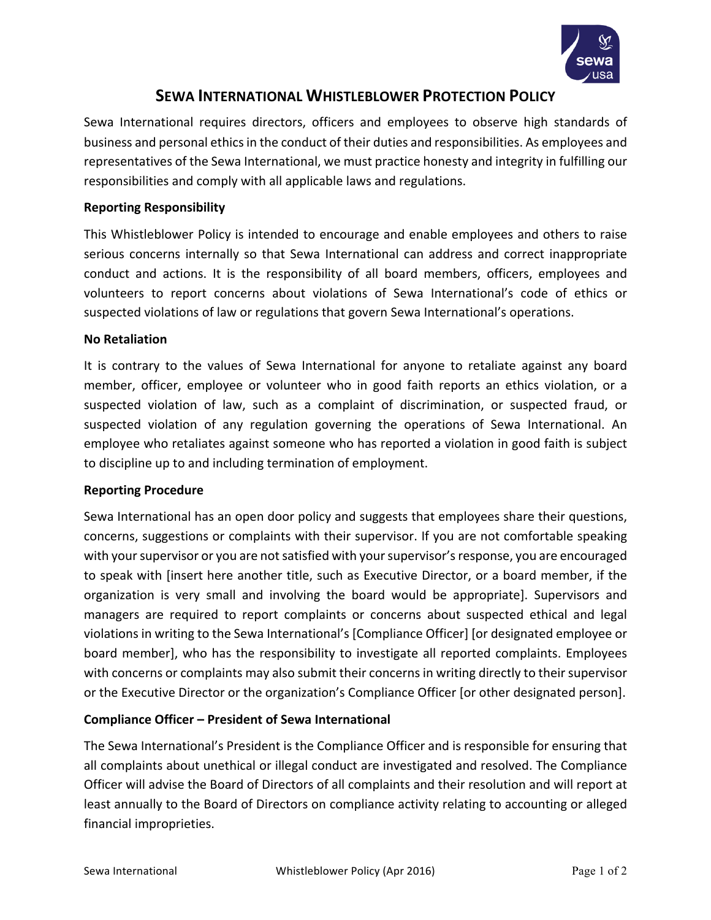

# **SEWA INTERNATIONAL WHISTLEBLOWER PROTECTION POLICY**

Sewa International requires directors, officers and employees to observe high standards of business and personal ethics in the conduct of their duties and responsibilities. As employees and representatives of the Sewa International, we must practice honesty and integrity in fulfilling our responsibilities and comply with all applicable laws and regulations.

### **Reporting Responsibility**

This Whistleblower Policy is intended to encourage and enable employees and others to raise serious concerns internally so that Sewa International can address and correct inappropriate conduct and actions. It is the responsibility of all board members, officers, employees and volunteers to report concerns about violations of Sewa International's code of ethics or suspected violations of law or regulations that govern Sewa International's operations.

#### **No Retaliation**

It is contrary to the values of Sewa International for anyone to retaliate against any board member, officer, employee or volunteer who in good faith reports an ethics violation, or a suspected violation of law, such as a complaint of discrimination, or suspected fraud, or suspected violation of any regulation governing the operations of Sewa International. An employee who retaliates against someone who has reported a violation in good faith is subject to discipline up to and including termination of employment.

#### **Reporting Procedure**

Sewa International has an open door policy and suggests that employees share their questions, concerns, suggestions or complaints with their supervisor. If you are not comfortable speaking with your supervisor or you are not satisfied with your supervisor's response, you are encouraged to speak with [insert here another title, such as Executive Director, or a board member, if the organization is very small and involving the board would be appropriate]. Supervisors and managers are required to report complaints or concerns about suspected ethical and legal violations in writing to the Sewa International's [Compliance Officer] [or designated employee or board member], who has the responsibility to investigate all reported complaints. Employees with concerns or complaints may also submit their concerns in writing directly to their supervisor or the Executive Director or the organization's Compliance Officer [or other designated person].

#### **Compliance Officer – President of Sewa International**

The Sewa International's President is the Compliance Officer and is responsible for ensuring that all complaints about unethical or illegal conduct are investigated and resolved. The Compliance Officer will advise the Board of Directors of all complaints and their resolution and will report at least annually to the Board of Directors on compliance activity relating to accounting or alleged financial improprieties.